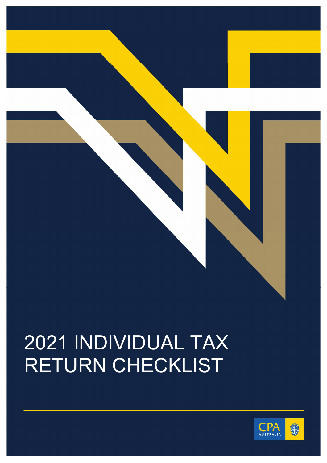

## 2021 INDIVIDUAL TAX RETURN CHECKLIST